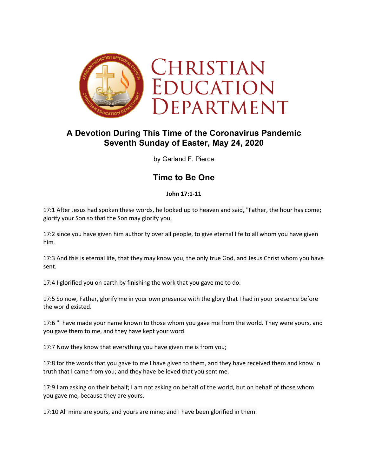

# **A Devotion During This Time of the Coronavirus Pandemic Seventh Sunday of Easter, May 24, 2020**

by Garland F. Pierce

## **Time to Be One**

#### **John 17:1-11**

17:1 After Jesus had spoken these words, he looked up to heaven and said, "Father, the hour has come; glorify your Son so that the Son may glorify you,

17:2 since you have given him authority over all people, to give eternal life to all whom you have given him.

17:3 And this is eternal life, that they may know you, the only true God, and Jesus Christ whom you have sent.

17:4 I glorified you on earth by finishing the work that you gave me to do.

17:5 So now, Father, glorify me in your own presence with the glory that I had in your presence before the world existed.

17:6 "I have made your name known to those whom you gave me from the world. They were yours, and you gave them to me, and they have kept your word.

17:7 Now they know that everything you have given me is from you;

17:8 for the words that you gave to me I have given to them, and they have received them and know in truth that I came from you; and they have believed that you sent me.

17:9 I am asking on their behalf; I am not asking on behalf of the world, but on behalf of those whom you gave me, because they are yours.

17:10 All mine are yours, and yours are mine; and I have been glorified in them.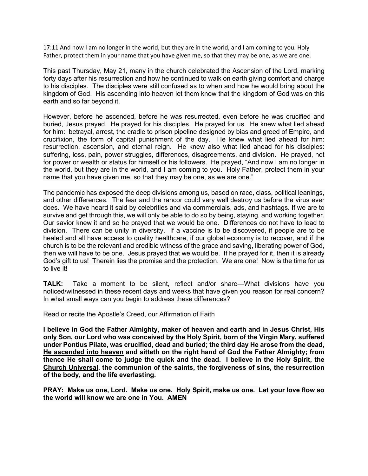17:11 And now I am no longer in the world, but they are in the world, and I am coming to you. Holy Father, protect them in your name that you have given me, so that they may be one, as we are one.

This past Thursday, May 21, many in the church celebrated the Ascension of the Lord, marking forty days after his resurrection and how he continued to walk on earth giving comfort and charge to his disciples. The disciples were still confused as to when and how he would bring about the kingdom of God. His ascending into heaven let them know that the kingdom of God was on this earth and so far beyond it.

However, before he ascended, before he was resurrected, even before he was crucified and buried, Jesus prayed. He prayed for his disciples. He prayed for us. He knew what lied ahead for him: betrayal, arrest, the cradle to prison pipeline designed by bias and greed of Empire, and crucifixion, the form of capital punishment of the day. He knew what lied ahead for him: resurrection, ascension, and eternal reign. He knew also what lied ahead for his disciples: suffering, loss, pain, power struggles, differences, disagreements, and division. He prayed, not for power or wealth or status for himself or his followers. He prayed, "And now I am no longer in the world, but they are in the world, and I am coming to you. Holy Father, protect them in your name that you have given me, so that they may be one, as we are one."

The pandemic has exposed the deep divisions among us, based on race, class, political leanings, and other differences. The fear and the rancor could very well destroy us before the virus ever does. We have heard it said by celebrities and via commercials, ads, and hashtags. If we are to survive and get through this, we will only be able to do so by being, staying, and working together. Our savior knew it and so he prayed that we would be one. Differences do not have to lead to division. There can be unity in diversity. If a vaccine is to be discovered, if people are to be healed and all have access to quality healthcare, if our global economy is to recover, and if the church is to be the relevant and credible witness of the grace and saving, liberating power of God, then we will have to be one. Jesus prayed that we would be. If he prayed for it, then it is already God's gift to us! Therein lies the promise and the protection. We are one! Now is the time for us to live it!

**TALK:** Take a moment to be silent, reflect and/or share—What divisions have you noticed/witnessed in these recent days and weeks that have given you reason for real concern? In what small ways can you begin to address these differences?

Read or recite the Apostle's Creed, our Affirmation of Faith

**I believe in God the Father Almighty, maker of heaven and earth and in Jesus Christ, His only Son, our Lord who was conceived by the Holy Spirit, born of the Virgin Mary, suffered under Pontius Pilate, was crucified, dead and buried; the third day He arose from the dead, He ascended into heaven and sitteth on the right hand of God the Father Almighty; from thence He shall come to judge the quick and the dead. I believe in the Holy Spirit, the Church Universal, the communion of the saints, the forgiveness of sins, the resurrection of the body, and the life everlasting.**

**PRAY: Make us one, Lord. Make us one. Holy Spirit, make us one. Let your love flow so the world will know we are one in You. AMEN**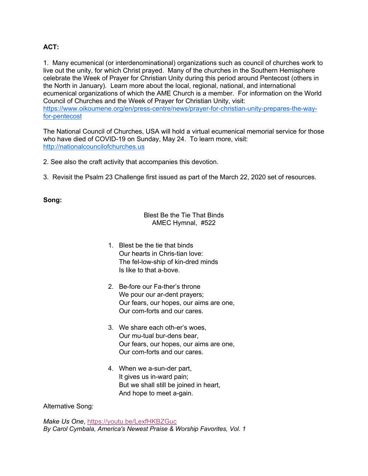### **ACT:**

1. Many ecumenical (or interdenominational) organizations such as council of churches work to live out the unity, for which Christ prayed. Many of the churches in the Southern Hemisphere celebrate the Week of Prayer for Christian Unity during this period around Pentecost (others in the North in January). Learn more about the local, regional, national, and international ecumenical organizations of which the AME Church is a member. For information on the World Council of Churches and the Week of Prayer for Christian Unity, visit: https://www.oikoumene.org/en/press-centre/news/prayer-for-christian-unity-prepares-the-wayfor-pentecost

The National Council of Churches, USA will hold a virtual ecumenical memorial service for those who have died of COVID-19 on Sunday, May 24. To learn more, visit: http://nationalcouncilofchurches.us

- 2. See also the craft activity that accompanies this devotion.
- 3. Revisit the Psalm 23 Challenge first issued as part of the March 22, 2020 set of resources.

#### **Song:**

Blest Be the Tie That Binds AMEC Hymnal, #522

- 1. Blest be the tie that binds Our hearts in Chris-tian love: The fel-low-ship of kin-dred minds Is like to that a-bove.
- 2. Be-fore our Fa-ther's throne We pour our ar-dent prayers; Our fears, our hopes, our aims are one, Our com-forts and our cares.
- 3. We share each oth-er's woes, Our mu-tual bur-dens bear, Our fears, our hopes, our aims are one, Our com-forts and our cares.
- 4. When we a-sun-der part, It gives us in-ward pain; But we shall still be joined in heart, And hope to meet a-gain.

Alternative Song:

*Make Us One*, https://youtu.be/LexfHKBZGuc *By Carol Cymbala, America's Newest Praise & Worship Favorites, Vol. 1*